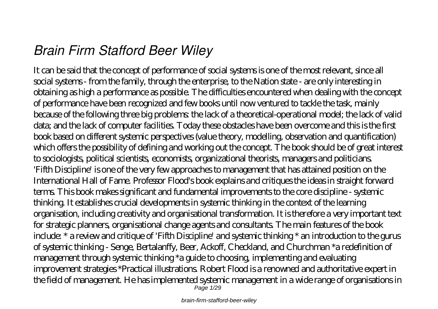# *Brain Firm Stafford Beer Wiley*

It can be said that the concept of performance of social systems is one of the most relevant, since all social systems - from the family, through the enterprise, to the Nation state - are only interesting in obtaining as high a performance as possible. The difficulties encountered when dealing with the concept of performance have been recognized and few books until now ventured to tackle the task, mainly because of the following three big problems: the lack of a theoretical-operational model; the lack of valid data; and the lack of computer facilities. Today these obstacles have been overcome and this is the first book based on different systemic perspectives (value theory, modelling, observation and quantification) which offers the possibility of defining and working out the concept. The book should be of great interest to sociologists, political scientists, economists, organizational theorists, managers and politicians. 'Fifth Discipline' is one of the very few approaches to management that has attained position on the International Hall of Fame. Professor Flood's book explains and critiques the ideas in straight forward terms. This book makes significant and fundamental improvements to the core discipline - systemic thinking. It establishes crucial developments in systemic thinking in the context of the learning organisation, including creativity and organisational transformation. It is therefore a very important text for strategic planners, organisational change agents and consultants. The main features of the book include: \* a review and critique of 'Fifth Discipline' and systemic thinking \* an introduction to the gurus of systemic thinking - Senge, Bertalanffy, Beer, Ackoff, Checkland, and Churchman \*a redefinition of management through systemic thinking \*a guide to choosing, implementing and evaluating improvement strategies \*Practical illustrations. Robert Flood is a renowned and authoritative expert in the field of management. He has implemented systemic management in a wide range of organisations in Page 1/29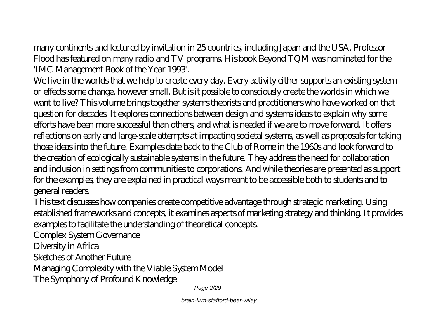many continents and lectured by invitation in 25 countries, including Japan and the USA. Professor Flood has featured on many radio and TV programs. His book Beyond TQM was nominated for the 'IMC Management Book of the Year 1993'.

We live in the worlds that we help to create every day. Every activity either supports an existing system or effects some change, however small. But is it possible to consciously create the worlds in which we want to live? This volume brings together systems theorists and practitioners who have worked on that question for decades. It explores connections between design and systems ideas to explain why some efforts have been more successful than others, and what is needed if we are to move forward. It offers reflections on early and large-scale attempts at impacting societal systems, as well as proposals for taking those ideas into the future. Examples date back to the Club of Rome in the 1960s and look forward to the creation of ecologically sustainable systems in the future. They address the need for collaboration and inclusion in settings from communities to corporations. And while theories are presented as support for the examples, they are explained in practical ways meant to be accessible both to students and to general readers.

This text discusses how companies create competitive advantage through strategic marketing. Using established frameworks and concepts, it examines aspects of marketing strategy and thinking. It provides examples to facilitate the understanding of theoretical concepts.

Complex System Governance

Diversity in Africa

Sketches of Another Future

Managing Complexity with the Viable System Model

The Symphony of Profound Knowledge

Page 2/29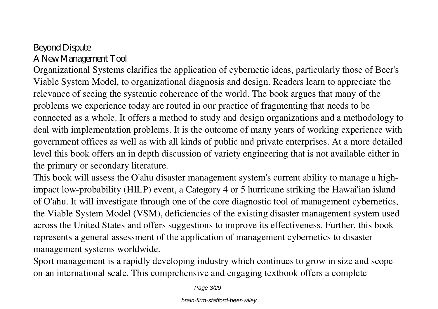### Beyond Dispute A New Management Tool

Organizational Systems clarifies the application of cybernetic ideas, particularly those of Beer's Viable System Model, to organizational diagnosis and design. Readers learn to appreciate the relevance of seeing the systemic coherence of the world. The book argues that many of the problems we experience today are routed in our practice of fragmenting that needs to be connected as a whole. It offers a method to study and design organizations and a methodology to deal with implementation problems. It is the outcome of many years of working experience with government offices as well as with all kinds of public and private enterprises. At a more detailed level this book offers an in depth discussion of variety engineering that is not available either in the primary or secondary literature.

This book will assess the O'ahu disaster management system's current ability to manage a highimpact low-probability (HILP) event, a Category 4 or 5 hurricane striking the Hawai'ian island of O'ahu. It will investigate through one of the core diagnostic tool of management cybernetics, the Viable System Model (VSM), deficiencies of the existing disaster management system used across the United States and offers suggestions to improve its effectiveness. Further, this book represents a general assessment of the application of management cybernetics to disaster management systems worldwide.

Sport management is a rapidly developing industry which continues to grow in size and scope on an international scale. This comprehensive and engaging textbook offers a complete

Page 3/29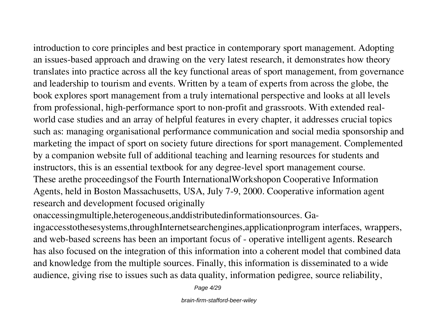introduction to core principles and best practice in contemporary sport management. Adopting an issues-based approach and drawing on the very latest research, it demonstrates how theory translates into practice across all the key functional areas of sport management, from governance and leadership to tourism and events. Written by a team of experts from across the globe, the book explores sport management from a truly international perspective and looks at all levels from professional, high-performance sport to non-profit and grassroots. With extended realworld case studies and an array of helpful features in every chapter, it addresses crucial topics such as: managing organisational performance communication and social media sponsorship and marketing the impact of sport on society future directions for sport management. Complemented by a companion website full of additional teaching and learning resources for students and instructors, this is an essential textbook for any degree-level sport management course. These arethe proceedingsof the Fourth InternationalWorkshopon Cooperative Information

Agents, held in Boston Massachusetts, USA, July 7-9, 2000. Cooperative information agent research and development focused originally

onaccessingmultiple,heterogeneous,anddistributedinformationsources. Ga-

ingaccesstothesesystems,throughInternetsearchengines,applicationprogram interfaces, wrappers, and web-based screens has been an important focus of - operative intelligent agents. Research has also focused on the integration of this information into a coherent model that combined data and knowledge from the multiple sources. Finally, this information is disseminated to a wide audience, giving rise to issues such as data quality, information pedigree, source reliability,

Page 4/29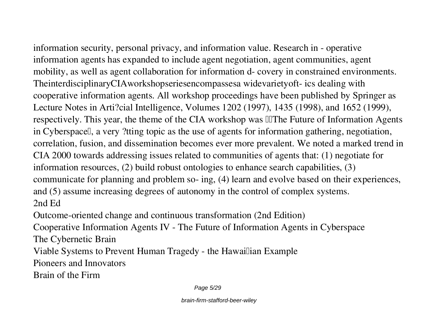information security, personal privacy, and information value. Research in - operative information agents has expanded to include agent negotiation, agent communities, agent mobility, as well as agent collaboration for information d- covery in constrained environments. TheinterdisciplinaryCIAworkshopseriesencompassesa widevarietyoft- ics dealing with cooperative information agents. All workshop proceedings have been published by Springer as Lecture Notes in Arti?cial Intelligence, Volumes 1202 (1997), 1435 (1998), and 1652 (1999), respectively. This year, the theme of the CIA workshop was  $\mathbb{I}$ The Future of Information Agents in Cyberspace.<sup>[]</sup>, a very ?tting topic as the use of agents for information gathering, negotiation, correlation, fusion, and dissemination becomes ever more prevalent. We noted a marked trend in CIA 2000 towards addressing issues related to communities of agents that: (1) negotiate for information resources, (2) build robust ontologies to enhance search capabilities, (3) communicate for planning and problem so- ing, (4) learn and evolve based on their experiences, and (5) assume increasing degrees of autonomy in the control of complex systems. 2nd Ed

Outcome-oriented change and continuous transformation (2nd Edition)

Cooperative Information Agents IV - The Future of Information Agents in Cyberspace The Cybernetic Brain

Viable Systems to Prevent Human Tragedy - the Hawaillian Example

Pioneers and Innovators

Brain of the Firm

Page 5/29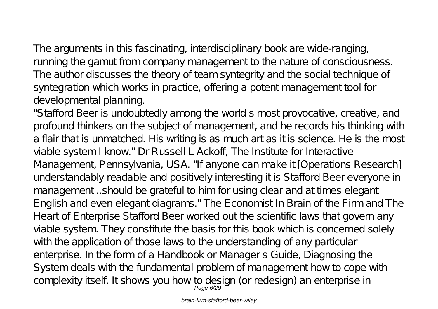The arguments in this fascinating, interdisciplinary book are wide-ranging, running the gamut from company management to the nature of consciousness. The author discusses the theory of team syntegrity and the social technique of syntegration which works in practice, offering a potent management tool for developmental planning.

"Stafford Beer is undoubtedly among the world s most provocative, creative, and profound thinkers on the subject of management, and he records his thinking with a flair that is unmatched. His writing is as much art as it is science. He is the most viable system I know." Dr Russell L Ackoff, The Institute for Interactive Management, Pennsylvania, USA. "If anyone can make it [Operations Research] understandably readable and positively interesting it is Stafford Beer everyone in management ..should be grateful to him for using clear and at times elegant English and even elegant diagrams." The Economist In Brain of the Firm and The Heart of Enterprise Stafford Beer worked out the scientific laws that govern any viable system. They constitute the basis for this book which is concerned solely with the application of those laws to the understanding of any particular enterprise. In the form of a Handbook or Manager s Guide, Diagnosing the System deals with the fundamental problem of management how to cope with complexity itself. It shows you how to design (or redesign) an enterprise in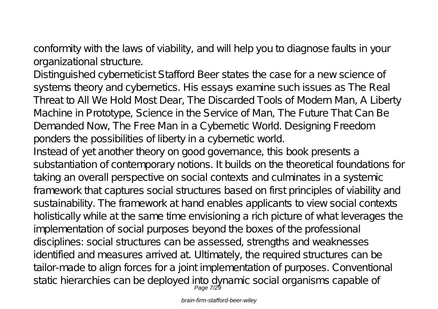conformity with the laws of viability, and will help you to diagnose faults in your organizational structure.

Distinguished cyberneticist Stafford Beer states the case for a new science of systems theory and cybernetics. His essays examine such issues as The Real Threat to All We Hold Most Dear, The Discarded Tools of Modern Man, A Liberty Machine in Prototype, Science in the Service of Man, The Future That Can Be Demanded Now, The Free Man in a Cybernetic World. Designing Freedom ponders the possibilities of liberty in a cybernetic world.

Instead of yet another theory on good governance, this book presents a substantiation of contemporary notions. It builds on the theoretical foundations for taking an overall perspective on social contexts and culminates in a systemic framework that captures social structures based on first principles of viability and sustainability. The framework at hand enables applicants to view social contexts holistically while at the same time envisioning a rich picture of what leverages the implementation of social purposes beyond the boxes of the professional disciplines: social structures can be assessed, strengths and weaknesses identified and measures arrived at. Ultimately, the required structures can be tailor-made to align forces for a joint implementation of purposes. Conventional static hierarchies can be deployed into dynamic social organisms capable of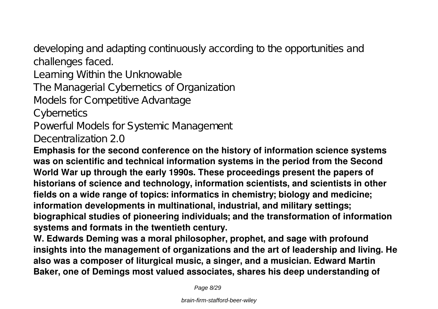developing and adapting continuously according to the opportunities and challenges faced.

Learning Within the Unknowable

The Managerial Cybernetics of Organization

Models for Competitive Advantage

**C**ybernetics

Powerful Models for Systemic Management

Decentralization 2.0

**Emphasis for the second conference on the history of information science systems was on scientific and technical information systems in the period from the Second World War up through the early 1990s. These proceedings present the papers of historians of science and technology, information scientists, and scientists in other fields on a wide range of topics: informatics in chemistry; biology and medicine; information developments in multinational, industrial, and military settings; biographical studies of pioneering individuals; and the transformation of information systems and formats in the twentieth century.**

**W. Edwards Deming was a moral philosopher, prophet, and sage with profound insights into the management of organizations and the art of leadership and living. He also was a composer of liturgical music, a singer, and a musician. Edward Martin Baker, one of Demings most valued associates, shares his deep understanding of**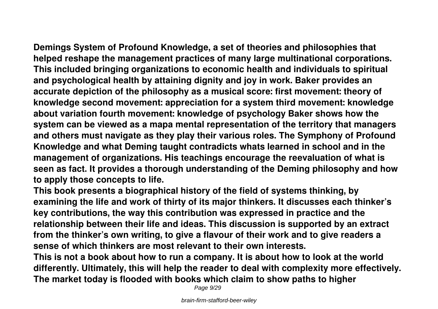**Demings System of Profound Knowledge, a set of theories and philosophies that helped reshape the management practices of many large multinational corporations. This included bringing organizations to economic health and individuals to spiritual and psychological health by attaining dignity and joy in work. Baker provides an accurate depiction of the philosophy as a musical score: first movement: theory of knowledge second movement: appreciation for a system third movement: knowledge about variation fourth movement: knowledge of psychology Baker shows how the system can be viewed as a mapa mental representation of the territory that managers and others must navigate as they play their various roles. The Symphony of Profound Knowledge and what Deming taught contradicts whats learned in school and in the management of organizations. His teachings encourage the reevaluation of what is seen as fact. It provides a thorough understanding of the Deming philosophy and how to apply those concepts to life.**

**This book presents a biographical history of the field of systems thinking, by examining the life and work of thirty of its major thinkers. It discusses each thinker's key contributions, the way this contribution was expressed in practice and the relationship between their life and ideas. This discussion is supported by an extract from the thinker's own writing, to give a flavour of their work and to give readers a sense of which thinkers are most relevant to their own interests.**

**This is not a book about how to run a company. It is about how to look at the world differently. Ultimately, this will help the reader to deal with complexity more effectively. The market today is flooded with books which claim to show paths to higher**

Page  $9/29$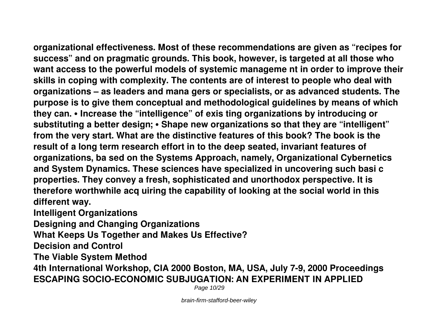**organizational effectiveness. Most of these recommendations are given as "recipes for success" and on pragmatic grounds. This book, however, is targeted at all those who want access to the powerful models of systemic manageme nt in order to improve their skills in coping with complexity. The contents are of interest to people who deal with organizations – as leaders and mana gers or specialists, or as advanced students. The purpose is to give them conceptual and methodological guidelines by means of which they can. • Increase the "intelligence" of exis ting organizations by introducing or substituting a better design; • Shape new organizations so that they are "intelligent" from the very start. What are the distinctive features of this book? The book is the result of a long term research effort in to the deep seated, invariant features of organizations, ba sed on the Systems Approach, namely, Organizational Cybernetics and System Dynamics. These sciences have specialized in uncovering such basi c properties. They convey a fresh, sophisticated and unorthodox perspective. It is therefore worthwhile acq uiring the capability of looking at the social world in this different way.**

**Intelligent Organizations**

**Designing and Changing Organizations**

**What Keeps Us Together and Makes Us Effective?**

**Decision and Control**

**The Viable System Method**

**4th International Workshop, CIA 2000 Boston, MA, USA, July 7-9, 2000 Proceedings ESCAPING SOCIO-ECONOMIC SUBJUGATION: AN EXPERIMENT IN APPLIED**

Page 10/29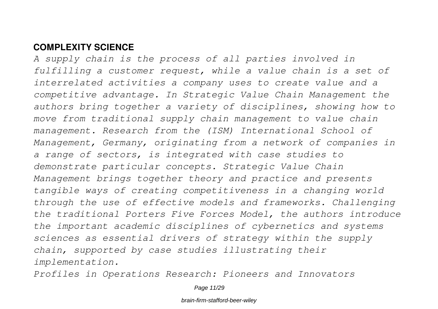#### **COMPLEXITY SCIENCE**

*A supply chain is the process of all parties involved in fulfilling a customer request, while a value chain is a set of interrelated activities a company uses to create value and a competitive advantage. In Strategic Value Chain Management the authors bring together a variety of disciplines, showing how to move from traditional supply chain management to value chain management. Research from the (ISM) International School of Management, Germany, originating from a network of companies in a range of sectors, is integrated with case studies to demonstrate particular concepts. Strategic Value Chain Management brings together theory and practice and presents tangible ways of creating competitiveness in a changing world through the use of effective models and frameworks. Challenging the traditional Porters Five Forces Model, the authors introduce the important academic disciplines of cybernetics and systems sciences as essential drivers of strategy within the supply chain, supported by case studies illustrating their implementation.*

*Profiles in Operations Research: Pioneers and Innovators*

Page 11/29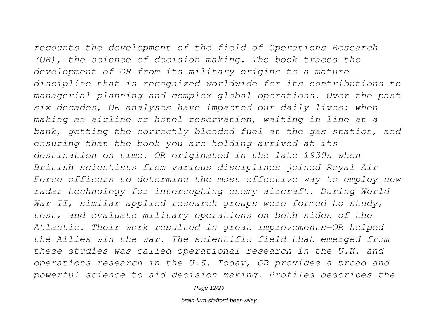*recounts the development of the field of Operations Research (OR), the science of decision making. The book traces the development of OR from its military origins to a mature discipline that is recognized worldwide for its contributions to managerial planning and complex global operations. Over the past six decades, OR analyses have impacted our daily lives: when making an airline or hotel reservation, waiting in line at a bank, getting the correctly blended fuel at the gas station, and ensuring that the book you are holding arrived at its destination on time. OR originated in the late 1930s when British scientists from various disciplines joined Royal Air Force officers to determine the most effective way to employ new radar technology for intercepting enemy aircraft. During World War II, similar applied research groups were formed to study, test, and evaluate military operations on both sides of the Atlantic. Their work resulted in great improvements—OR helped the Allies win the war. The scientific field that emerged from these studies was called operational research in the U.K. and operations research in the U.S. Today, OR provides a broad and powerful science to aid decision making. Profiles describes the*

Page 12/29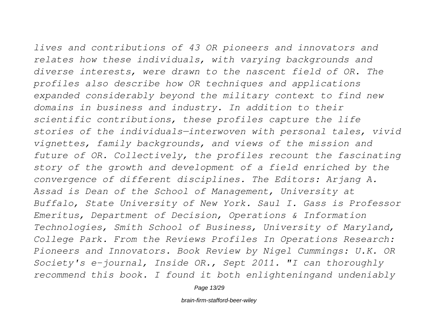*lives and contributions of 43 OR pioneers and innovators and relates how these individuals, with varying backgrounds and diverse interests, were drawn to the nascent field of OR. The profiles also describe how OR techniques and applications expanded considerably beyond the military context to find new domains in business and industry. In addition to their scientific contributions, these profiles capture the life stories of the individuals—interwoven with personal tales, vivid vignettes, family backgrounds, and views of the mission and future of OR. Collectively, the profiles recount the fascinating story of the growth and development of a field enriched by the convergence of different disciplines. The Editors: Arjang A. Assad is Dean of the School of Management, University at Buffalo, State University of New York. Saul I. Gass is Professor Emeritus, Department of Decision, Operations & Information Technologies, Smith School of Business, University of Maryland, College Park. From the Reviews Profiles In Operations Research: Pioneers and Innovators. Book Review by Nigel Cummings: U.K. OR*

*Society's e-journal, Inside OR., Sept 2011. "I can thoroughly recommend this book. I found it both enlighteningand undeniably*

Page 13/29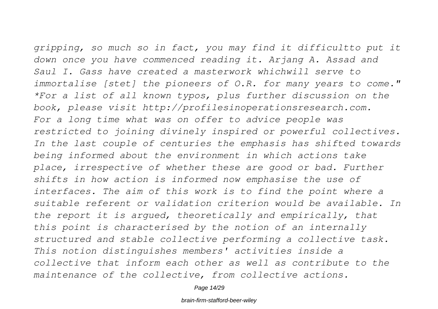*gripping, so much so in fact, you may find it difficultto put it down once you have commenced reading it. Arjang A. Assad and Saul I. Gass have created a masterwork whichwill serve to immortalise [stet] the pioneers of O.R. for many years to come." \*For a list of all known typos, plus further discussion on the book, please visit http://profilesinoperationsresearch.com. For a long time what was on offer to advice people was restricted to joining divinely inspired or powerful collectives. In the last couple of centuries the emphasis has shifted towards being informed about the environment in which actions take place, irrespective of whether these are good or bad. Further shifts in how action is informed now emphasise the use of interfaces. The aim of this work is to find the point where a suitable referent or validation criterion would be available. In the report it is argued, theoretically and empirically, that this point is characterised by the notion of an internally structured and stable collective performing a collective task. This notion distinguishes members' activities inside a collective that inform each other as well as contribute to the maintenance of the collective, from collective actions.*

Page 14/29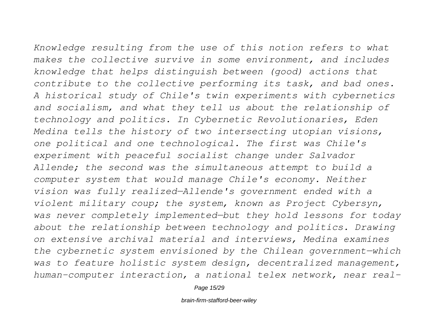*Knowledge resulting from the use of this notion refers to what makes the collective survive in some environment, and includes knowledge that helps distinguish between (good) actions that contribute to the collective performing its task, and bad ones. A historical study of Chile's twin experiments with cybernetics and socialism, and what they tell us about the relationship of technology and politics. In Cybernetic Revolutionaries, Eden Medina tells the history of two intersecting utopian visions, one political and one technological. The first was Chile's experiment with peaceful socialist change under Salvador Allende; the second was the simultaneous attempt to build a computer system that would manage Chile's economy. Neither vision was fully realized—Allende's government ended with a violent military coup; the system, known as Project Cybersyn, was never completely implemented—but they hold lessons for today about the relationship between technology and politics. Drawing on extensive archival material and interviews, Medina examines the cybernetic system envisioned by the Chilean government—which was to feature holistic system design, decentralized management, human-computer interaction, a national telex network, near real-*

Page 15/29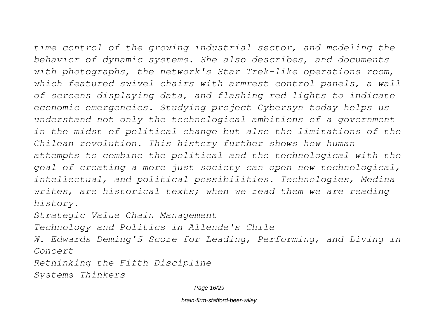*time control of the growing industrial sector, and modeling the behavior of dynamic systems. She also describes, and documents with photographs, the network's Star Trek-like operations room, which featured swivel chairs with armrest control panels, a wall of screens displaying data, and flashing red lights to indicate economic emergencies. Studying project Cybersyn today helps us understand not only the technological ambitions of a government in the midst of political change but also the limitations of the*

*Chilean revolution. This history further shows how human attempts to combine the political and the technological with the goal of creating a more just society can open new technological, intellectual, and political possibilities. Technologies, Medina writes, are historical texts; when we read them we are reading history.*

*Strategic Value Chain Management*

*Technology and Politics in Allende's Chile*

*W. Edwards Deming'S Score for Leading, Performing, and Living in Concert*

*Rethinking the Fifth Discipline Systems Thinkers*

Page 16/29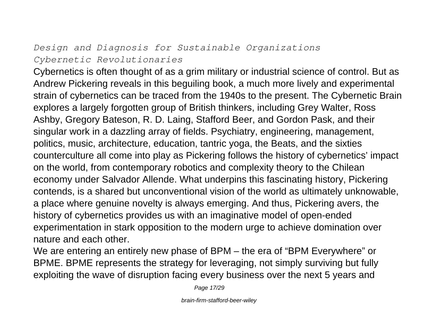#### *Design and Diagnosis for Sustainable Organizations Cybernetic Revolutionaries*

Cybernetics is often thought of as a grim military or industrial science of control. But as Andrew Pickering reveals in this beguiling book, a much more lively and experimental strain of cybernetics can be traced from the 1940s to the present. The Cybernetic Brain explores a largely forgotten group of British thinkers, including Grey Walter, Ross Ashby, Gregory Bateson, R. D. Laing, Stafford Beer, and Gordon Pask, and their singular work in a dazzling array of fields. Psychiatry, engineering, management, politics, music, architecture, education, tantric yoga, the Beats, and the sixties counterculture all come into play as Pickering follows the history of cybernetics' impact on the world, from contemporary robotics and complexity theory to the Chilean economy under Salvador Allende. What underpins this fascinating history, Pickering contends, is a shared but unconventional vision of the world as ultimately unknowable, a place where genuine novelty is always emerging. And thus, Pickering avers, the history of cybernetics provides us with an imaginative model of open-ended experimentation in stark opposition to the modern urge to achieve domination over nature and each other.

We are entering an entirely new phase of BPM – the era of "BPM Everywhere" or BPME. BPME represents the strategy for leveraging, not simply surviving but fully exploiting the wave of disruption facing every business over the next 5 years and

Page 17/29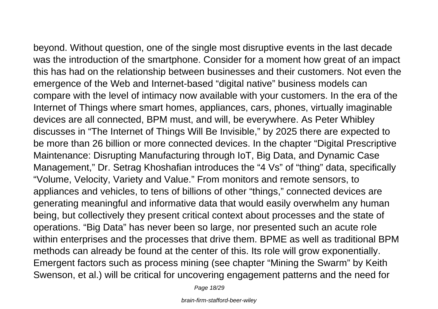beyond. Without question, one of the single most disruptive events in the last decade was the introduction of the smartphone. Consider for a moment how great of an impact this has had on the relationship between businesses and their customers. Not even the emergence of the Web and Internet-based "digital native" business models can compare with the level of intimacy now available with your customers. In the era of the Internet of Things where smart homes, appliances, cars, phones, virtually imaginable devices are all connected, BPM must, and will, be everywhere. As Peter Whibley discusses in "The Internet of Things Will Be Invisible," by 2025 there are expected to be more than 26 billion or more connected devices. In the chapter "Digital Prescriptive Maintenance: Disrupting Manufacturing through IoT, Big Data, and Dynamic Case Management," Dr. Setrag Khoshafian introduces the "4 Vs" of "thing" data, specifically "Volume, Velocity, Variety and Value." From monitors and remote sensors, to appliances and vehicles, to tens of billions of other "things," connected devices are generating meaningful and informative data that would easily overwhelm any human being, but collectively they present critical context about processes and the state of operations. "Big Data" has never been so large, nor presented such an acute role within enterprises and the processes that drive them. BPME as well as traditional BPM methods can already be found at the center of this. Its role will grow exponentially. Emergent factors such as process mining (see chapter "Mining the Swarm" by Keith Swenson, et al.) will be critical for uncovering engagement patterns and the need for

Page 18/29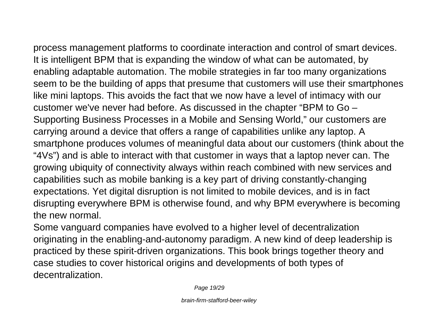process management platforms to coordinate interaction and control of smart devices. It is intelligent BPM that is expanding the window of what can be automated, by enabling adaptable automation. The mobile strategies in far too many organizations seem to be the building of apps that presume that customers will use their smartphones like mini laptops. This avoids the fact that we now have a level of intimacy with our customer we've never had before. As discussed in the chapter "BPM to Go – Supporting Business Processes in a Mobile and Sensing World," our customers are carrying around a device that offers a range of capabilities unlike any laptop. A smartphone produces volumes of meaningful data about our customers (think about the "4Vs") and is able to interact with that customer in ways that a laptop never can. The growing ubiquity of connectivity always within reach combined with new services and capabilities such as mobile banking is a key part of driving constantly-changing expectations. Yet digital disruption is not limited to mobile devices, and is in fact disrupting everywhere BPM is otherwise found, and why BPM everywhere is becoming the new normal.

Some vanguard companies have evolved to a higher level of decentralization originating in the enabling-and-autonomy paradigm. A new kind of deep leadership is practiced by these spirit-driven organizations. This book brings together theory and case studies to cover historical origins and developments of both types of decentralization.

Page 19/29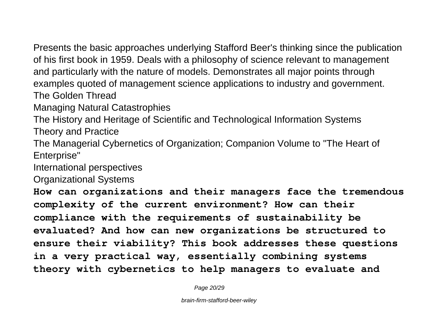Presents the basic approaches underlying Stafford Beer's thinking since the publication of his first book in 1959. Deals with a philosophy of science relevant to management and particularly with the nature of models. Demonstrates all major points through examples quoted of management science applications to industry and government. The Golden Thread

Managing Natural Catastrophies

The History and Heritage of Scientific and Technological Information Systems Theory and Practice

The Managerial Cybernetics of Organization; Companion Volume to "The Heart of Enterprise"

International perspectives

Organizational Systems

**How can organizations and their managers face the tremendous complexity of the current environment? How can their compliance with the requirements of sustainability be evaluated? And how can new organizations be structured to ensure their viability? This book addresses these questions in a very practical way, essentially combining systems theory with cybernetics to help managers to evaluate and**

Page 20/29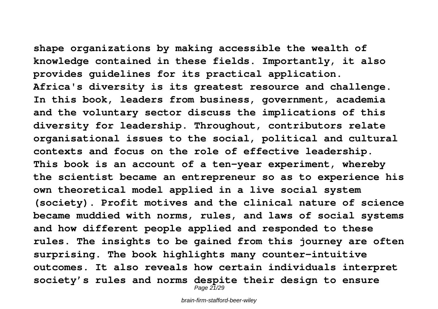**shape organizations by making accessible the wealth of knowledge contained in these fields. Importantly, it also provides guidelines for its practical application. Africa's diversity is its greatest resource and challenge. In this book, leaders from business, government, academia and the voluntary sector discuss the implications of this diversity for leadership. Throughout, contributors relate organisational issues to the social, political and cultural contexts and focus on the role of effective leadership. This book is an account of a ten-year experiment, whereby the scientist became an entrepreneur so as to experience his own theoretical model applied in a live social system (society). Profit motives and the clinical nature of science became muddied with norms, rules, and laws of social systems and how different people applied and responded to these rules. The insights to be gained from this journey are often surprising. The book highlights many counter-intuitive outcomes. It also reveals how certain individuals interpret society's rules and norms despite their design to ensure**

Page 21/29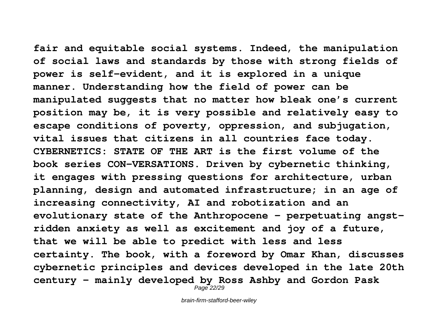**fair and equitable social systems. Indeed, the manipulation of social laws and standards by those with strong fields of power is self-evident, and it is explored in a unique manner. Understanding how the field of power can be manipulated suggests that no matter how bleak one's current position may be, it is very possible and relatively easy to escape conditions of poverty, oppression, and subjugation, vital issues that citizens in all countries face today. CYBERNETICS: STATE OF THE ART is the first volume of the book series CON-VERSATIONS. Driven by cybernetic thinking, it engages with pressing questions for architecture, urban planning, design and automated infrastructure; in an age of increasing connectivity, AI and robotization and an evolutionary state of the Anthropocene - perpetuating angstridden anxiety as well as excitement and joy of a future, that we will be able to predict with less and less certainty. The book, with a foreword by Omar Khan, discusses cybernetic principles and devices developed in the late 20th century – mainly developed by Ross Ashby and Gordon Pask**

Page 22/29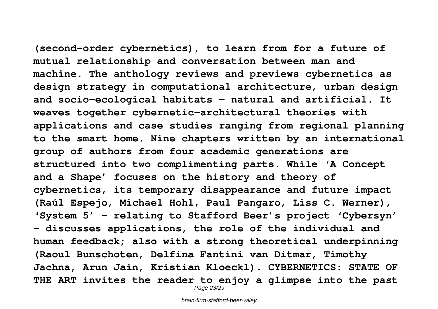**(second-order cybernetics), to learn from for a future of mutual relationship and conversation between man and machine. The anthology reviews and previews cybernetics as design strategy in computational architecture, urban design and socio-ecological habitats - natural and artificial. It weaves together cybernetic-architectural theories with applications and case studies ranging from regional planning to the smart home. Nine chapters written by an international group of authors from four academic generations are structured into two complimenting parts. While 'A Concept and a Shape' focuses on the history and theory of cybernetics, its temporary disappearance and future impact (Raúl Espejo, Michael Hohl, Paul Pangaro, Liss C. Werner), 'System 5' – relating to Stafford Beer's project 'Cybersyn' - discusses applications, the role of the individual and human feedback; also with a strong theoretical underpinning**

**(Raoul Bunschoten, Delfina Fantini van Ditmar, Timothy Jachna, Arun Jain, Kristian Kloeckl). CYBERNETICS: STATE OF THE ART invites the reader to enjoy a glimpse into the past** Page 23/29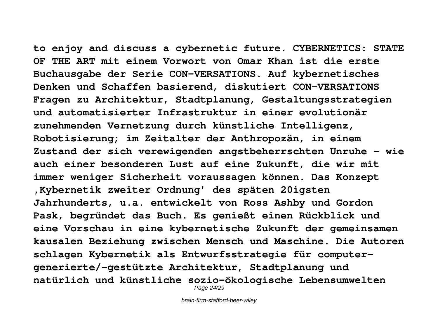**to enjoy and discuss a cybernetic future. CYBERNETICS: STATE OF THE ART mit einem Vorwort von Omar Khan ist die erste Buchausgabe der Serie CON-VERSATIONS. Auf kybernetisches Denken und Schaffen basierend, diskutiert CON-VERSATIONS Fragen zu Architektur, Stadtplanung, Gestaltungsstrategien und automatisierter Infrastruktur in einer evolutionär zunehmenden Vernetzung durch künstliche Intelligenz, Robotisierung; im Zeitalter der Anthropozän, in einem Zustand der sich verewigenden angstbeherrschten Unruhe - wie auch einer besonderen Lust auf eine Zukunft, die wir mit immer weniger Sicherheit voraussagen können. Das Konzept 'Kybernetik zweiter Ordnung' des späten 20igsten Jahrhunderts, u.a. entwickelt von Ross Ashby und Gordon Pask, begründet das Buch. Es genießt einen Rückblick und eine Vorschau in eine kybernetische Zukunft der gemeinsamen kausalen Beziehung zwischen Mensch und Maschine. Die Autoren schlagen Kybernetik als Entwurfsstrategie für computergenerierte/-gestützte Architektur, Stadtplanung und natürlich und künstliche sozio-ökologische Lebensumwelten** Page 24/29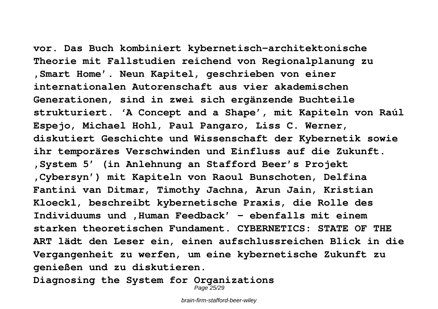**vor. Das Buch kombiniert kybernetisch-architektonische Theorie mit Fallstudien reichend von Regionalplanung zu 'Smart Home'. Neun Kapitel, geschrieben von einer internationalen Autorenschaft aus vier akademischen Generationen, sind in zwei sich ergänzende Buchteile strukturiert. 'A Concept and a Shape', mit Kapiteln von Raúl Espejo, Michael Hohl, Paul Pangaro, Liss C. Werner, diskutiert Geschichte und Wissenschaft der Kybernetik sowie ihr temporäres Verschwinden und Einfluss auf die Zukunft. 'System 5' (in Anlehnung an Stafford Beer's Projekt 'Cybersyn') mit Kapiteln von Raoul Bunschoten, Delfina Fantini van Ditmar, Timothy Jachna, Arun Jain, Kristian Kloeckl, beschreibt kybernetische Praxis, die Rolle des Individuums und 'Human Feedback' - ebenfalls mit einem starken theoretischen Fundament. CYBERNETICS: STATE OF THE ART lädt den Leser ein, einen aufschlussreichen Blick in die Vergangenheit zu werfen, um eine kybernetische Zukunft zu genießen und zu diskutieren.**

**Diagnosing the System for Organizations**

Page 25/29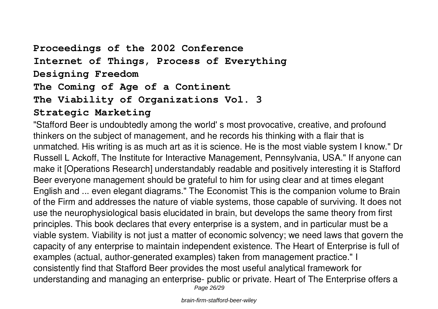## **Proceedings of the 2002 Conference Internet of Things, Process of Everything Designing Freedom The Coming of Age of a Continent The Viability of Organizations Vol. 3**

#### **Strategic Marketing**

"Stafford Beer is undoubtedly among the world' s most provocative, creative, and profound thinkers on the subject of management, and he records his thinking with a flair that is unmatched. His writing is as much art as it is science. He is the most viable system I know." Dr Russell L Ackoff, The Institute for Interactive Management, Pennsylvania, USA." If anyone can make it [Operations Research] understandably readable and positively interesting it is Stafford Beer everyone management should be grateful to him for using clear and at times elegant English and ... even elegant diagrams." The Economist This is the companion volume to Brain of the Firm and addresses the nature of viable systems, those capable of surviving. It does not use the neurophysiological basis elucidated in brain, but develops the same theory from first principles. This book declares that every enterprise is a system, and in particular must be a viable system. Viability is not just a matter of economic solvency; we need laws that govern the capacity of any enterprise to maintain independent existence. The Heart of Enterprise is full of examples (actual, author-generated examples) taken from management practice." I consistently find that Stafford Beer provides the most useful analytical framework for understanding and managing an enterprise- public or private. Heart of The Enterprise offers a Page 26/29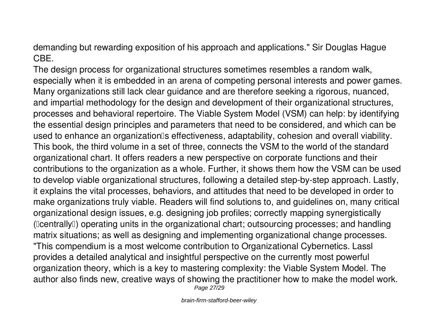demanding but rewarding exposition of his approach and applications." Sir Douglas Hague CBE.

The design process for organizational structures sometimes resembles a random walk, especially when it is embedded in an arena of competing personal interests and power games. Many organizations still lack clear guidance and are therefore seeking a rigorous, nuanced, and impartial methodology for the design and development of their organizational structures, processes and behavioral repertoire. The Viable System Model (VSM) can help: by identifying the essential design principles and parameters that need to be considered, and which can be used to enhance an organization<sup>®</sup>s effectiveness, adaptability, cohesion and overall viability. This book, the third volume in a set of three, connects the VSM to the world of the standard organizational chart. It offers readers a new perspective on corporate functions and their contributions to the organization as a whole. Further, it shows them how the VSM can be used to develop viable organizational structures, following a detailed step-by-step approach. Lastly, it explains the vital processes, behaviors, and attitudes that need to be developed in order to make organizations truly viable. Readers will find solutions to, and guidelines on, many critical organizational design issues, e.g. designing job profiles; correctly mapping synergistically ("centrally") operating units in the organizational chart; outsourcing processes; and handling matrix situations; as well as designing and implementing organizational change processes. "This compendium is a most welcome contribution to Organizational Cybernetics. Lassl provides a detailed analytical and insightful perspective on the currently most powerful organization theory, which is a key to mastering complexity: the Viable System Model. The author also finds new, creative ways of showing the practitioner how to make the model work. Page 27/29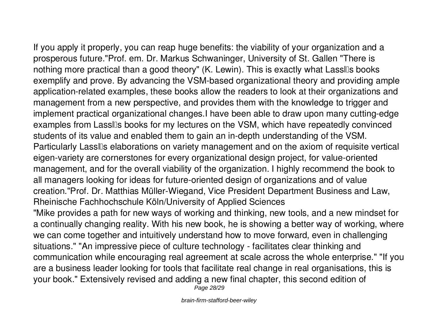If you apply it properly, you can reap huge benefits: the viability of your organization and a prosperous future."Prof. em. Dr. Markus Schwaninger, University of St. Gallen "There is nothing more practical than a good theory" (K. Lewin). This is exactly what Lassles books exemplify and prove. By advancing the VSM-based organizational theory and providing ample application-related examples, these books allow the readers to look at their organizations and management from a new perspective, and provides them with the knowledge to trigger and implement practical organizational changes.I have been able to draw upon many cutting-edge examples from Lassles books for my lectures on the VSM, which have repeatedly convinced students of its value and enabled them to gain an in-depth understanding of the VSM. Particularly Lasslos elaborations on variety management and on the axiom of requisite vertical eigen-variety are cornerstones for every organizational design project, for value-oriented management, and for the overall viability of the organization. I highly recommend the book to all managers looking for ideas for future-oriented design of organizations and of value creation."Prof. Dr. Matthias Müller-Wiegand, Vice President Department Business and Law, Rheinische Fachhochschule Köln/University of Applied Sciences

"Mike provides a path for new ways of working and thinking, new tools, and a new mindset for a continually changing reality. With his new book, he is showing a better way of working, where we can come together and intuitively understand how to move forward, even in challenging situations." "An impressive piece of culture technology - facilitates clear thinking and communication while encouraging real agreement at scale across the whole enterprise." "If you are a business leader looking for tools that facilitate real change in real organisations, this is your book." Extensively revised and adding a new final chapter, this second edition of Page 28/29